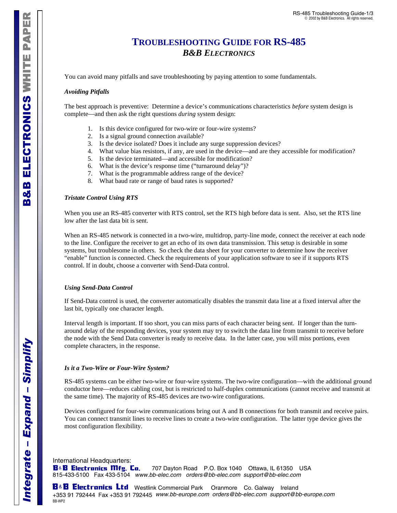# **TROUBLESHOOTING GUIDE FOR RS-485**  *B&B ELECTRONICS*

You can avoid many pitfalls and save troubleshooting by paying attention to some fundamentals.

#### *Avoiding Pitfalls*

The best approach is preventive: Determine a device's communications characteristics *before* system design is complete—and then ask the right questions *during* system design:

- 1. Is this device configured for two-wire or four-wire systems?
- 2. Is a signal ground connection available?
- 3. Is the device isolated? Does it include any surge suppression devices?
- 4. What value bias resistors, if any, are used in the device—and are they accessible for modification?
- 5. Is the device terminated—and accessible for modification?
- 6. What is the device's response time ("turnaround delay")?
- 7. What is the programmable address range of the device?
- 8. What baud rate or range of baud rates is supported?

#### *Tristate Control Using RTS*

When you use an RS-485 converter with RTS control, set the RTS high before data is sent. Also, set the RTS line low after the last data bit is sent.

When an RS-485 network is connected in a two-wire, multidrop, party-line mode, connect the receiver at each node to the line. Configure the receiver to get an echo of its own data transmission. This setup is desirable in some systems, but troublesome in others. So check the data sheet for your converter to determine how the receiver "enable" function is connected. Check the requirements of your application software to see if it supports RTS control. If in doubt, choose a converter with Send-Data control.

#### *Using Send-Data Control*

If Send-Data control is used, the converter automatically disables the transmit data line at a fixed interval after the last bit, typically one character length.

Interval length is important. If too short, you can miss parts of each character being sent. If longer than the turnaround delay of the responding devices, your system may try to switch the data line from transmit to receive before the node with the Send Data converter is ready to receive data. In the latter case, you will miss portions, even complete characters, in the response.

#### *Is it a Two-Wire or Four-Wire System?*

RS-485 systems can be either two-wire or four-wire systems. The two-wire configuration—with the additional ground conductor here—reduces cabling cost, but is restricted to half-duplex communications (cannot receive and transmit at the same time). The majority of RS-485 devices are two-wire configurations.

Devices configured for four-wire communications bring out A and B connections for both transmit and receive pairs. You can connect transmit lines to receive lines to create a two-wire configuration. The latter type device gives the most configuration flexibility.

International Headquarters:

*Integrate* 

Integrate -

*– Expand* 

Expand - Simplify

 $\mathbf{B}$ & $\mathbf{B}$  Electronics Mfg. Co. 707 Dayton Road P.O. Box 1040 Ottawa, IL 61350 USA 815-433-5100 Fax 433-5104 www.bb-elec.com orders@bb-elec.com support@bb-elec.com

**B&B Electrunics Ltd** Westlink Commercial Park Oranmore Co. Galway Ireland +353 91 792444 Fax +353 91 792445 www.bb-europe.com orders@bb-elec.com support@bb-europe.com BB-WP2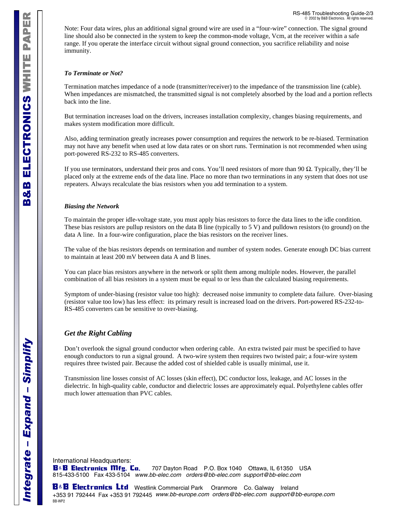Note: Four data wires, plus an additional signal ground wire are used in a "four-wire" connection. The signal ground line should also be connected in the system to keep the common-mode voltage, Vcm, at the receiver within a safe range. If you operate the interface circuit without signal ground connection, you sacrifice reliability and noise immunity.

#### *To Terminate or Not?*

Termination matches impedance of a node (transmitter/receiver) to the impedance of the transmission line (cable). When impedances are mismatched, the transmitted signal is not completely absorbed by the load and a portion reflects back into the line.

But termination increases load on the drivers, increases installation complexity, changes biasing requirements, and makes system modification more difficult.

Also, adding termination greatly increases power consumption and requires the network to be re-biased. Termination may not have any benefit when used at low data rates or on short runs. Termination is not recommended when using port-powered RS-232 to RS-485 converters.

If you use terminators, understand their pros and cons. You'll need resistors of more than 90 Ω. Typically, they'll be placed only at the extreme ends of the data line. Place no more than two terminations in any system that does not use repeaters. Always recalculate the bias resistors when you add termination to a system.

#### *Biasing the Network*

To maintain the proper idle-voltage state, you must apply bias resistors to force the data lines to the idle condition. These bias resistors are pullup resistors on the data B line (typically to 5 V) and pulldown resistors (to ground) on the data A line. In a four-wire configuration, place the bias resistors on the receiver lines.

The value of the bias resistors depends on termination and number of system nodes. Generate enough DC bias current to maintain at least 200 mV between data A and B lines.

You can place bias resistors anywhere in the network or split them among multiple nodes. However, the parallel combination of all bias resistors in a system must be equal to or less than the calculated biasing requirements.

Symptom of under-biasing (resistor value too high): decreased noise immunity to complete data failure. Over-biasing (resistor value too low) has less effect: its primary result is increased load on the drivers. Port-powered RS-232-to-RS-485 converters can be sensitive to over-biasing.

# *Get the Right Cabling*

Don't overlook the signal ground conductor when ordering cable. An extra twisted pair must be specified to have enough conductors to run a signal ground. A two-wire system then requires two twisted pair; a four-wire system requires three twisted pair. Because the added cost of shielded cable is usually minimal, use it.

Transmission line losses consist of AC losses (skin effect), DC conductor loss, leakage, and AC losses in the dielectric. In high-quality cable, conductor and dielectric losses are approximately equal. Polyethylene cables offer much lower attenuation than PVC cables.

International Headquarters:

B&B Electronics Mfg. Co. 707 Dayton Road P.O. Box 1040 Ottawa, IL 61350 USA 815-433-5100 Fax 433-5104 www.bb-elec.com orders@bb-elec.com support@bb-elec.com

**H&B Electrunics Ltd** Westlink Commercial Park Oranmore Co. Galway Ireland +353 91 792444 Fax +353 91 792445 www.bb-europe.com orders@bb-elec.com support@bb-europe.com BB-WP2